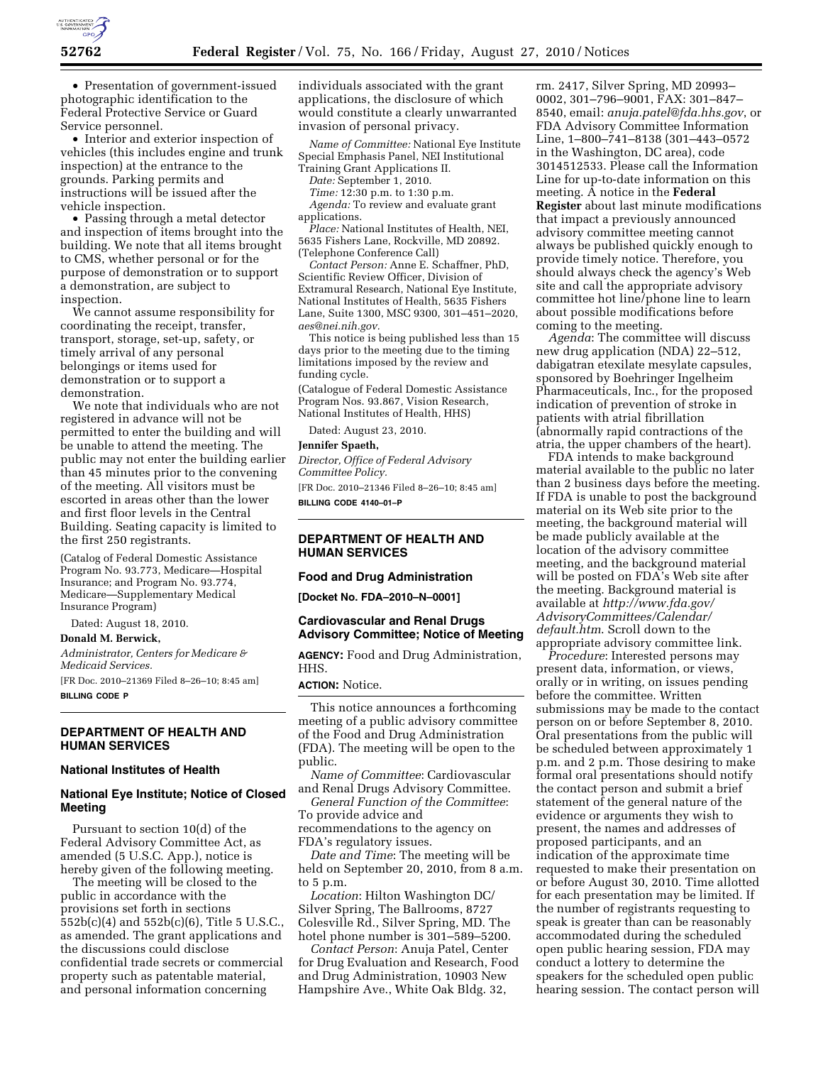

• Presentation of government-issued photographic identification to the Federal Protective Service or Guard Service personnel.

• Interior and exterior inspection of vehicles (this includes engine and trunk inspection) at the entrance to the grounds. Parking permits and instructions will be issued after the vehicle inspection.

• Passing through a metal detector and inspection of items brought into the building. We note that all items brought to CMS, whether personal or for the purpose of demonstration or to support a demonstration, are subject to inspection.

We cannot assume responsibility for coordinating the receipt, transfer, transport, storage, set-up, safety, or timely arrival of any personal belongings or items used for demonstration or to support a demonstration.

We note that individuals who are not registered in advance will not be permitted to enter the building and will be unable to attend the meeting. The public may not enter the building earlier than 45 minutes prior to the convening of the meeting. All visitors must be escorted in areas other than the lower and first floor levels in the Central Building. Seating capacity is limited to the first 250 registrants.

(Catalog of Federal Domestic Assistance Program No. 93.773, Medicare—Hospital Insurance; and Program No. 93.774, Medicare—Supplementary Medical Insurance Program)

Dated: August 18, 2010.

**Donald M. Berwick,** 

*Administrator, Centers for Medicare & Medicaid Services.* 

[FR Doc. 2010–21369 Filed 8–26–10; 8:45 am] **BILLING CODE P** 

# **DEPARTMENT OF HEALTH AND HUMAN SERVICES**

#### **National Institutes of Health**

### **National Eye Institute; Notice of Closed Meeting**

Pursuant to section 10(d) of the Federal Advisory Committee Act, as amended (5 U.S.C. App.), notice is hereby given of the following meeting.

The meeting will be closed to the public in accordance with the provisions set forth in sections 552b(c)(4) and 552b(c)(6), Title 5 U.S.C., as amended. The grant applications and the discussions could disclose confidential trade secrets or commercial property such as patentable material, and personal information concerning

individuals associated with the grant applications, the disclosure of which would constitute a clearly unwarranted invasion of personal privacy.

*Name of Committee:* National Eye Institute Special Emphasis Panel, NEI Institutional Training Grant Applications II.

*Date:* September 1, 2010.

*Time:* 12:30 p.m. to 1:30 p.m.

- *Agenda:* To review and evaluate grant applications.
- *Place:* National Institutes of Health, NEI, 5635 Fishers Lane, Rockville, MD 20892. (Telephone Conference Call)

*Contact Person:* Anne E. Schaffner, PhD, Scientific Review Officer, Division of Extramural Research, National Eye Institute, National Institutes of Health, 5635 Fishers Lane, Suite 1300, MSC 9300, 301–451–2020, *[aes@nei.nih.gov.](mailto:aes@nei.nih.gov)* 

This notice is being published less than 15 days prior to the meeting due to the timing limitations imposed by the review and funding cycle.

(Catalogue of Federal Domestic Assistance Program Nos. 93.867, Vision Research, National Institutes of Health, HHS)

Dated: August 23, 2010.

#### **Jennifer Spaeth,**

*Director, Office of Federal Advisory Committee Policy.* 

[FR Doc. 2010–21346 Filed 8–26–10; 8:45 am] **BILLING CODE 4140–01–P** 

## **DEPARTMENT OF HEALTH AND HUMAN SERVICES**

#### **Food and Drug Administration**

**[Docket No. FDA–2010–N–0001]** 

### **Cardiovascular and Renal Drugs Advisory Committee; Notice of Meeting**

**AGENCY:** Food and Drug Administration, HHS.

# **ACTION:** Notice.

This notice announces a forthcoming meeting of a public advisory committee of the Food and Drug Administration (FDA). The meeting will be open to the public.

*Name of Committee*: Cardiovascular and Renal Drugs Advisory Committee.

*General Function of the Committee*: To provide advice and recommendations to the agency on FDA's regulatory issues.

*Date and Time*: The meeting will be held on September 20, 2010, from 8 a.m. to 5 p.m.

*Location*: Hilton Washington DC/ Silver Spring, The Ballrooms, 8727 Colesville Rd., Silver Spring, MD. The hotel phone number is 301–589–5200.

*Contact Person*: Anuja Patel, Center for Drug Evaluation and Research, Food and Drug Administration, 10903 New Hampshire Ave., White Oak Bldg. 32,

rm. 2417, Silver Spring, MD 20993– 0002, 301–796–9001, FAX: 301–847– 8540, email: *[anuja.patel@fda.hhs.gov](mailto:anuja.patel@fda.hhs.gov)*, or FDA Advisory Committee Information Line, 1–800–741–8138 (301–443–0572 in the Washington, DC area), code 3014512533. Please call the Information Line for up-to-date information on this meeting. A notice in the **Federal Register** about last minute modifications that impact a previously announced advisory committee meeting cannot always be published quickly enough to provide timely notice. Therefore, you should always check the agency's Web site and call the appropriate advisory committee hot line/phone line to learn about possible modifications before coming to the meeting.

*Agenda*: The committee will discuss new drug application (NDA) 22–512, dabigatran etexilate mesylate capsules, sponsored by Boehringer Ingelheim Pharmaceuticals, Inc., for the proposed indication of prevention of stroke in patients with atrial fibrillation (abnormally rapid contractions of the atria, the upper chambers of the heart).

FDA intends to make background material available to the public no later than 2 business days before the meeting. If FDA is unable to post the background material on its Web site prior to the meeting, the background material will be made publicly available at the location of the advisory committee meeting, and the background material will be posted on FDA's Web site after the meeting. Background material is available at *[http://www.fda.gov/](http://www.fda.gov/AdvisoryCommittees/Calendar/default.htm)  [AdvisoryCommittees/Calendar/](http://www.fda.gov/AdvisoryCommittees/Calendar/default.htm)  [default.htm](http://www.fda.gov/AdvisoryCommittees/Calendar/default.htm)*. Scroll down to the appropriate advisory committee link.

*Procedure*: Interested persons may present data, information, or views, orally or in writing, on issues pending before the committee. Written submissions may be made to the contact person on or before September 8, 2010. Oral presentations from the public will be scheduled between approximately 1 p.m. and 2 p.m. Those desiring to make formal oral presentations should notify the contact person and submit a brief statement of the general nature of the evidence or arguments they wish to present, the names and addresses of proposed participants, and an indication of the approximate time requested to make their presentation on or before August 30, 2010. Time allotted for each presentation may be limited. If the number of registrants requesting to speak is greater than can be reasonably accommodated during the scheduled open public hearing session, FDA may conduct a lottery to determine the speakers for the scheduled open public hearing session. The contact person will